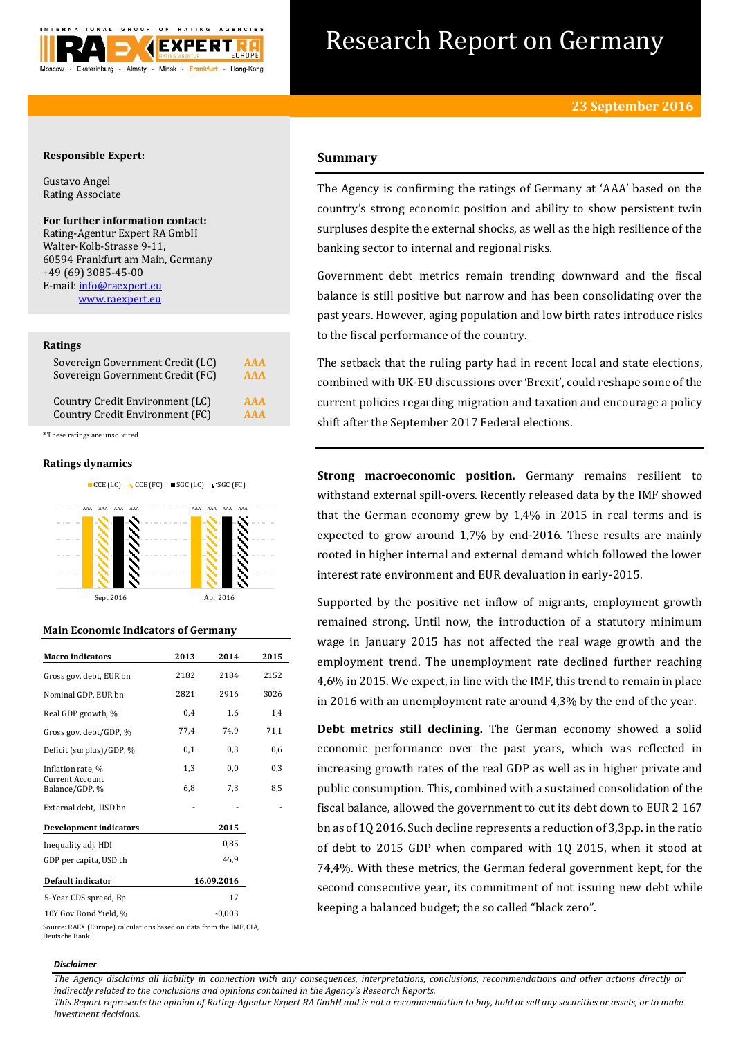

# Research Report on Germany

# **Responsible Expert:**

Gustavo Angel Rating Associate

# **For further information contact:**

Rating-Agentur Expert RA GmbH Walter-Kolb-Strasse 9-11, 60594 Frankfurt am Main, Germany +49 (69) 3085-45-00 E-mail[: info@raexpert.eu](mailto:info@raexpert.eu) [www.raexpert.eu](http://raexpert.eu/)

## **Ratings**

| Sovereign Government Credit (LC) | AAA        |
|----------------------------------|------------|
| Sovereign Government Credit (FC) | <b>AAA</b> |
| Country Credit Environment (LC)  | <b>AAA</b> |
| Country Credit Environment (FC)  | <b>AAA</b> |

\* These ratings are unsolicited

# **Ratings dynamics**



# **Main Economic Indicators of Germany**

| <b>Macro indicators</b>           | 2013 | 2014       | 2015 |
|-----------------------------------|------|------------|------|
| Gross gov. debt, EUR bn           | 2182 | 2184       | 2152 |
| Nominal GDP, EUR bn               | 2821 | 2916       | 3026 |
| Real GDP growth, %                | 0,4  | 1,6        | 1,4  |
| Gross gov. debt/GDP, %            | 77,4 | 74.9       | 71,1 |
| Deficit (surplus)/GDP, %          | 0,1  | 0,3        | 0,6  |
| Inflation rate, %                 | 1,3  | 0,0        | 0,3  |
| Current Account<br>Balance/GDP, % | 6,8  | 7,3        | 8,5  |
| External debt, USD bn             |      |            |      |
| <b>Development indicators</b>     |      | 2015       |      |
| Inequality adj. HDI               |      | 0,85       |      |
| GDP per capita, USD th            |      | 46,9       |      |
| Default indicator                 |      | 16.09.2016 |      |
| 5-Year CDS spread, Bp             |      | 17         |      |
| 10Y Gov Bond Yield, %             |      | $-0,003$   |      |

Source: RAEX (Europe) calculations based on data from the IMF, CIA, Deutsche Bank

# **Summary**

The Agency is confirming the ratings of Germany at 'AAA' based on the country's strong economic position and ability to show persistent twin surpluses despite the external shocks, as well as the high resilience of the banking sector to internal and regional risks.

Government debt metrics remain trending downward and the fiscal balance is still positive but narrow and has been consolidating over the past years. However, aging population and low birth rates introduce risks to the fiscal performance of the country.

The setback that the ruling party had in recent local and state elections, combined with UK-EU discussions over 'Brexit', could reshape some of the current policies regarding migration and taxation and encourage a policy shift after the September 2017 Federal elections.

**Strong macroeconomic position.** Germany remains resilient to withstand external spill-overs. Recently released data by the IMF showed that the German economy grew by 1,4% in 2015 in real terms and is expected to grow around 1,7% by end-2016. These results are mainly rooted in higher internal and external demand which followed the lower interest rate environment and EUR devaluation in early-2015.

Supported by the positive net inflow of migrants, employment growth remained strong. Until now, the introduction of a statutory minimum wage in January 2015 has not affected the real wage growth and the employment trend. The unemployment rate declined further reaching 4,6% in 2015. We expect, in line with the IMF, this trend to remain in place in 2016 with an unemployment rate around 4,3% by the end of the year.

**Debt metrics still declining.** The German economy showed a solid economic performance over the past years, which was reflected in increasing growth rates of the real GDP as well as in higher private and public consumption. This, combined with a sustained consolidation of the fiscal balance, allowed the government to cut its debt down to EUR 2 167 bn as of 1Q 2016. Such decline represents a reduction of 3,3p.p. in the ratio of debt to 2015 GDP when compared with 1Q 2015, when it stood at 74,4%. With these metrics, the German federal government kept, for the second consecutive year, its commitment of not issuing new debt while keeping a balanced budget; the so called "black zero".

## *Disclaimer*

*The Agency disclaims all liability in connection with any consequences, interpretations, conclusions, recommendations and other actions directly or indirectly related to the conclusions and opinions contained in the Agency's Research Reports.*

*This Report represents the opinion of Rating-Agentur Expert RA GmbH and is not a recommendation to buy, hold or sell any securities or assets, or to make investment decisions.*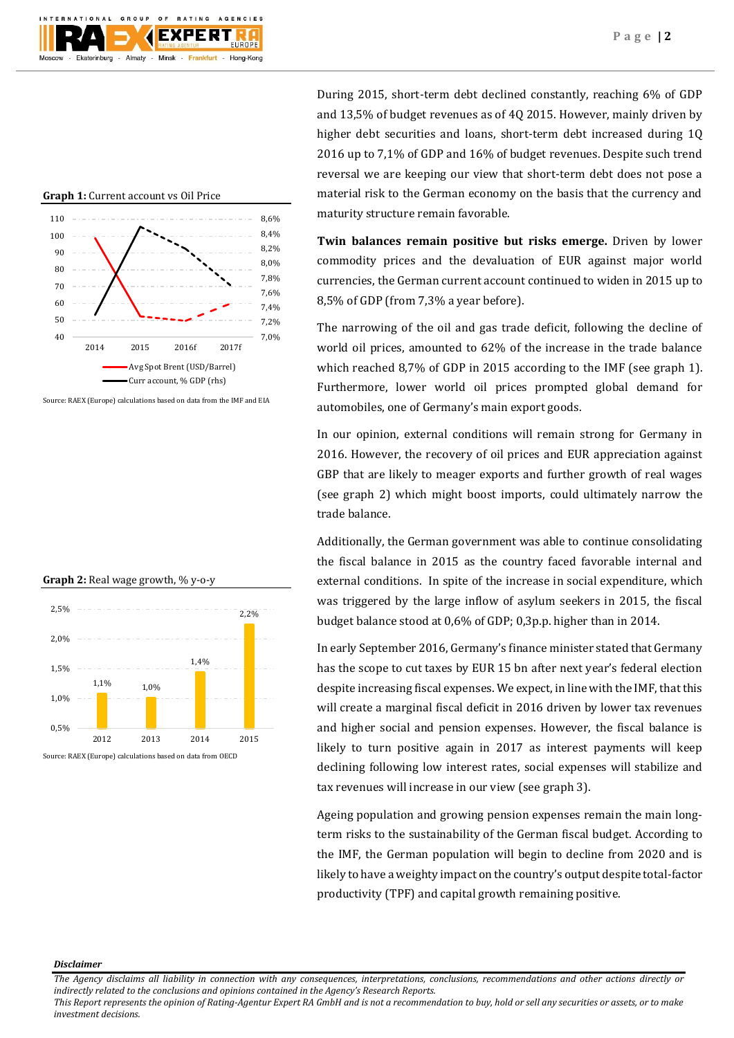

**Graph 1:** Current account vs Oil Price



Source: RAEX (Europe) calculations based on data from the IMF and EIA

#### **Graph 2:** Real wage growth, % y-o-y



Source: RAEX (Europe) calculations based on data from OECD

During 2015, short-term debt declined constantly, reaching 6% of GDP and 13,5% of budget revenues as of 4Q 2015. However, mainly driven by higher debt securities and loans, short-term debt increased during 1Q 2016 up to 7,1% of GDP and 16% of budget revenues. Despite such trend reversal we are keeping our view that short-term debt does not pose a material risk to the German economy on the basis that the currency and maturity structure remain favorable.

**Twin balances remain positive but risks emerge.** Driven by lower commodity prices and the devaluation of EUR against major world currencies, the German current account continued to widen in 2015 up to 8,5% of GDP (from 7,3% a year before).

The narrowing of the oil and gas trade deficit, following the decline of world oil prices, amounted to 62% of the increase in the trade balance which reached 8,7% of GDP in 2015 according to the IMF (see graph 1). Furthermore, lower world oil prices prompted global demand for automobiles, one of Germany's main export goods.

In our opinion, external conditions will remain strong for Germany in 2016. However, the recovery of oil prices and EUR appreciation against GBP that are likely to meager exports and further growth of real wages (see graph 2) which might boost imports, could ultimately narrow the trade balance.

Additionally, the German government was able to continue consolidating the fiscal balance in 2015 as the country faced favorable internal and external conditions. In spite of the increase in social expenditure, which was triggered by the large inflow of asylum seekers in 2015, the fiscal budget balance stood at 0,6% of GDP; 0,3p.p. higher than in 2014.

In early September 2016, Germany's finance minister stated that Germany has the scope to cut taxes by EUR 15 bn after next year's federal election despite increasing fiscal expenses. We expect, in line with the IMF, that this will create a marginal fiscal deficit in 2016 driven by lower tax revenues and higher social and pension expenses. However, the fiscal balance is likely to turn positive again in 2017 as interest payments will keep declining following low interest rates, social expenses will stabilize and tax revenues will increase in our view (see graph 3).

Ageing population and growing pension expenses remain the main longterm risks to the sustainability of the German fiscal budget. According to the IMF, the German population will begin to decline from 2020 and is likely to have a weighty impact on the country's output despite total-factor productivity (TPF) and capital growth remaining positive.

#### *Disclaimer*

*The Agency disclaims all liability in connection with any consequences, interpretations, conclusions, recommendations and other actions directly or indirectly related to the conclusions and opinions contained in the Agency's Research Reports.*

*This Report represents the opinion of Rating-Agentur Expert RA GmbH and is not a recommendation to buy, hold or sell any securities or assets, or to make investment decisions.*